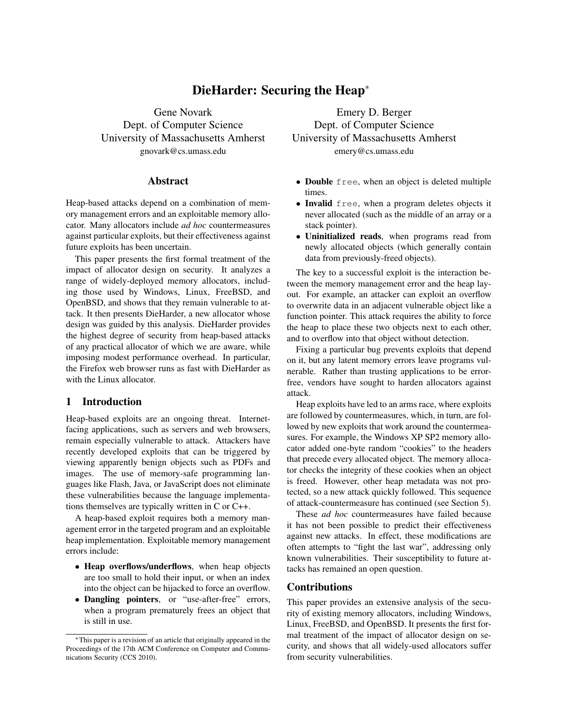# DieHarder: Securing the Heap<sup>∗</sup>

Gene Novark Dept. of Computer Science University of Massachusetts Amherst gnovark@cs.umass.edu

### Abstract

Heap-based attacks depend on a combination of memory management errors and an exploitable memory allocator. Many allocators include *ad hoc* countermeasures against particular exploits, but their effectiveness against future exploits has been uncertain.

This paper presents the first formal treatment of the impact of allocator design on security. It analyzes a range of widely-deployed memory allocators, including those used by Windows, Linux, FreeBSD, and OpenBSD, and shows that they remain vulnerable to attack. It then presents DieHarder, a new allocator whose design was guided by this analysis. DieHarder provides the highest degree of security from heap-based attacks of any practical allocator of which we are aware, while imposing modest performance overhead. In particular, the Firefox web browser runs as fast with DieHarder as with the Linux allocator.

### 1 Introduction

Heap-based exploits are an ongoing threat. Internetfacing applications, such as servers and web browsers, remain especially vulnerable to attack. Attackers have recently developed exploits that can be triggered by viewing apparently benign objects such as PDFs and images. The use of memory-safe programming languages like Flash, Java, or JavaScript does not eliminate these vulnerabilities because the language implementations themselves are typically written in C or C++.

A heap-based exploit requires both a memory management error in the targeted program and an exploitable heap implementation. Exploitable memory management errors include:

- Heap overflows/underflows, when heap objects are too small to hold their input, or when an index into the object can be hijacked to force an overflow.
- Dangling pointers, or "use-after-free" errors, when a program prematurely frees an object that is still in use.

Emery D. Berger Dept. of Computer Science University of Massachusetts Amherst emery@cs.umass.edu

- Double free, when an object is deleted multiple times.
- Invalid free, when a program deletes objects it never allocated (such as the middle of an array or a stack pointer).
- Uninitialized reads, when programs read from newly allocated objects (which generally contain data from previously-freed objects).

The key to a successful exploit is the interaction between the memory management error and the heap layout. For example, an attacker can exploit an overflow to overwrite data in an adjacent vulnerable object like a function pointer. This attack requires the ability to force the heap to place these two objects next to each other, and to overflow into that object without detection.

Fixing a particular bug prevents exploits that depend on it, but any latent memory errors leave programs vulnerable. Rather than trusting applications to be errorfree, vendors have sought to harden allocators against attack.

Heap exploits have led to an arms race, where exploits are followed by countermeasures, which, in turn, are followed by new exploits that work around the countermeasures. For example, the Windows XP SP2 memory allocator added one-byte random "cookies" to the headers that precede every allocated object. The memory allocator checks the integrity of these cookies when an object is freed. However, other heap metadata was not protected, so a new attack quickly followed. This sequence of attack-countermeasure has continued (see Section 5).

These *ad hoc* countermeasures have failed because it has not been possible to predict their effectiveness against new attacks. In effect, these modifications are often attempts to "fight the last war", addressing only known vulnerabilities. Their susceptibility to future attacks has remained an open question.

### Contributions

This paper provides an extensive analysis of the security of existing memory allocators, including Windows, Linux, FreeBSD, and OpenBSD. It presents the first formal treatment of the impact of allocator design on security, and shows that all widely-used allocators suffer from security vulnerabilities.

<sup>∗</sup>This paper is a revision of an article that originally appeared in the Proceedings of the 17th ACM Conference on Computer and Communications Security (CCS 2010).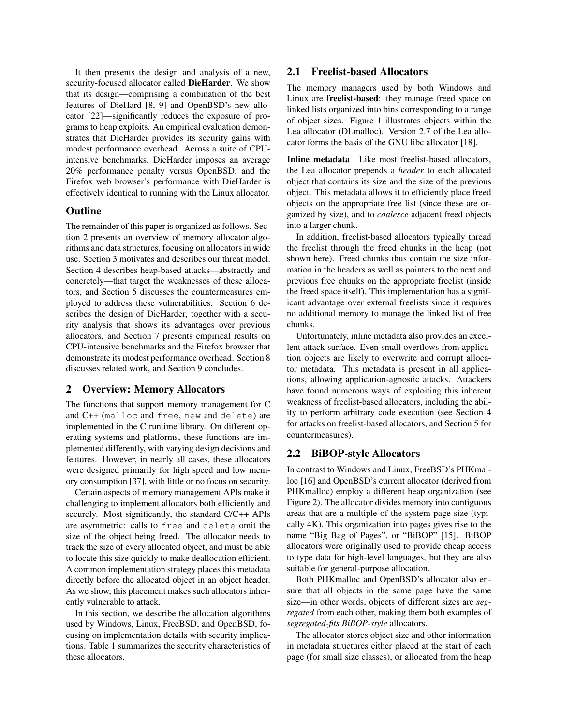It then presents the design and analysis of a new, security-focused allocator called DieHarder. We show that its design—comprising a combination of the best features of DieHard [8, 9] and OpenBSD's new allocator [22]—significantly reduces the exposure of programs to heap exploits. An empirical evaluation demonstrates that DieHarder provides its security gains with modest performance overhead. Across a suite of CPUintensive benchmarks, DieHarder imposes an average 20% performance penalty versus OpenBSD, and the Firefox web browser's performance with DieHarder is effectively identical to running with the Linux allocator.

### **Outline**

The remainder of this paper is organized as follows. Section 2 presents an overview of memory allocator algorithms and data structures, focusing on allocators in wide use. Section 3 motivates and describes our threat model. Section 4 describes heap-based attacks—abstractly and concretely—that target the weaknesses of these allocators, and Section 5 discusses the countermeasures employed to address these vulnerabilities. Section 6 describes the design of DieHarder, together with a security analysis that shows its advantages over previous allocators, and Section 7 presents empirical results on CPU-intensive benchmarks and the Firefox browser that demonstrate its modest performance overhead. Section 8 discusses related work, and Section 9 concludes.

#### 2 Overview: Memory Allocators

The functions that support memory management for C and C++ (malloc and free, new and delete) are implemented in the C runtime library. On different operating systems and platforms, these functions are implemented differently, with varying design decisions and features. However, in nearly all cases, these allocators were designed primarily for high speed and low memory consumption [37], with little or no focus on security.

Certain aspects of memory management APIs make it challenging to implement allocators both efficiently and securely. Most significantly, the standard C/C++ APIs are asymmetric: calls to free and delete omit the size of the object being freed. The allocator needs to track the size of every allocated object, and must be able to locate this size quickly to make deallocation efficient. A common implementation strategy places this metadata directly before the allocated object in an object header. As we show, this placement makes such allocators inherently vulnerable to attack.

In this section, we describe the allocation algorithms used by Windows, Linux, FreeBSD, and OpenBSD, focusing on implementation details with security implications. Table 1 summarizes the security characteristics of these allocators.

### 2.1 Freelist-based Allocators

The memory managers used by both Windows and Linux are freelist-based: they manage freed space on linked lists organized into bins corresponding to a range of object sizes. Figure 1 illustrates objects within the Lea allocator (DLmalloc). Version 2.7 of the Lea allocator forms the basis of the GNU libc allocator [18].

Inline metadata Like most freelist-based allocators, the Lea allocator prepends a *header* to each allocated object that contains its size and the size of the previous object. This metadata allows it to efficiently place freed objects on the appropriate free list (since these are organized by size), and to *coalesce* adjacent freed objects into a larger chunk.

In addition, freelist-based allocators typically thread the freelist through the freed chunks in the heap (not shown here). Freed chunks thus contain the size information in the headers as well as pointers to the next and previous free chunks on the appropriate freelist (inside the freed space itself). This implementation has a significant advantage over external freelists since it requires no additional memory to manage the linked list of free chunks.

Unfortunately, inline metadata also provides an excellent attack surface. Even small overflows from application objects are likely to overwrite and corrupt allocator metadata. This metadata is present in all applications, allowing application-agnostic attacks. Attackers have found numerous ways of exploiting this inherent weakness of freelist-based allocators, including the ability to perform arbitrary code execution (see Section 4 for attacks on freelist-based allocators, and Section 5 for countermeasures).

# 2.2 BiBOP-style Allocators

In contrast to Windows and Linux, FreeBSD's PHKmalloc [16] and OpenBSD's current allocator (derived from PHKmalloc) employ a different heap organization (see Figure 2). The allocator divides memory into contiguous areas that are a multiple of the system page size (typically 4K). This organization into pages gives rise to the name "Big Bag of Pages", or "BiBOP" [15]. BiBOP allocators were originally used to provide cheap access to type data for high-level languages, but they are also suitable for general-purpose allocation.

Both PHKmalloc and OpenBSD's allocator also ensure that all objects in the same page have the same size—in other words, objects of different sizes are *segregated* from each other, making them both examples of *segregated-fits BiBOP-style* allocators.

The allocator stores object size and other information in metadata structures either placed at the start of each page (for small size classes), or allocated from the heap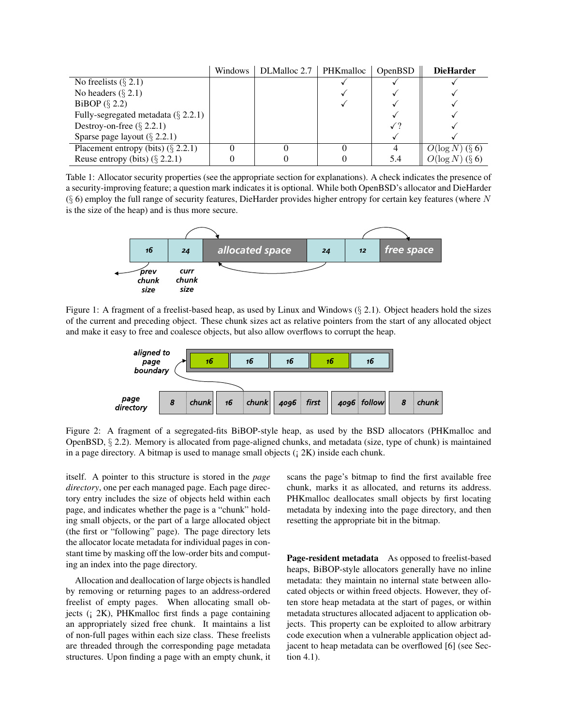|                                        | Windows | DLMalloc 2.7 | PHKmalloc | <b>OpenBSD</b> | <b>DieHarder</b>  |
|----------------------------------------|---------|--------------|-----------|----------------|-------------------|
| No freelists $(\S 2.1)$                |         |              |           |                |                   |
| No headers $(\S 2.1)$                  |         |              |           |                |                   |
| BiBOP $(\S$ 2.2)                       |         |              |           |                |                   |
| Fully-segregated metadata $(\S 2.2.1)$ |         |              |           |                |                   |
| Destroy-on-free $(\S$ 2.2.1)           |         |              |           | $\sqrt{?}$     |                   |
| Sparse page layout $(\S 2.2.1)$        |         |              |           |                |                   |
| Placement entropy (bits) $(\S 2.2.1)$  |         |              |           |                | $O(\log N)$ (§ 6) |
| Reuse entropy (bits) $(\S 2.2.1)$      |         |              |           | 5.4            | $O(\log N)$ (§ 6) |

Table 1: Allocator security properties (see the appropriate section for explanations). A check indicates the presence of a security-improving feature; a question mark indicates it is optional. While both OpenBSD's allocator and DieHarder  $(\S 6)$  employ the full range of security features, DieHarder provides higher entropy for certain key features (where N is the size of the heap) and is thus more secure.



Figure 1: A fragment of a freelist-based heap, as used by Linux and Windows  $(\S 2.1)$ . Object headers hold the sizes of the current and preceding object. These chunk sizes act as relative pointers from the start of any allocated object and make it easy to free and coalesce objects, but also allow overflows to corrupt the heap.



Figure 2: A fragment of a segregated-fits BiBOP-style heap, as used by the BSD allocators (PHKmalloc and OpenBSD, § 2.2). Memory is allocated from page-aligned chunks, and metadata (size, type of chunk) is maintained in a page directory. A bitmap is used to manage small objects (¡ 2K) inside each chunk.

itself. A pointer to this structure is stored in the *page directory*, one per each managed page. Each page directory entry includes the size of objects held within each page, and indicates whether the page is a "chunk" holding small objects, or the part of a large allocated object (the first or "following" page). The page directory lets the allocator locate metadata for individual pages in constant time by masking off the low-order bits and computing an index into the page directory.

Allocation and deallocation of large objects is handled by removing or returning pages to an address-ordered freelist of empty pages. When allocating small objects (¡ 2K), PHKmalloc first finds a page containing an appropriately sized free chunk. It maintains a list of non-full pages within each size class. These freelists are threaded through the corresponding page metadata structures. Upon finding a page with an empty chunk, it scans the page's bitmap to find the first available free chunk, marks it as allocated, and returns its address. PHKmalloc deallocates small objects by first locating metadata by indexing into the page directory, and then resetting the appropriate bit in the bitmap.

Page-resident metadata As opposed to freelist-based heaps, BiBOP-style allocators generally have no inline metadata: they maintain no internal state between allocated objects or within freed objects. However, they often store heap metadata at the start of pages, or within metadata structures allocated adjacent to application objects. This property can be exploited to allow arbitrary code execution when a vulnerable application object adjacent to heap metadata can be overflowed [6] (see Section 4.1).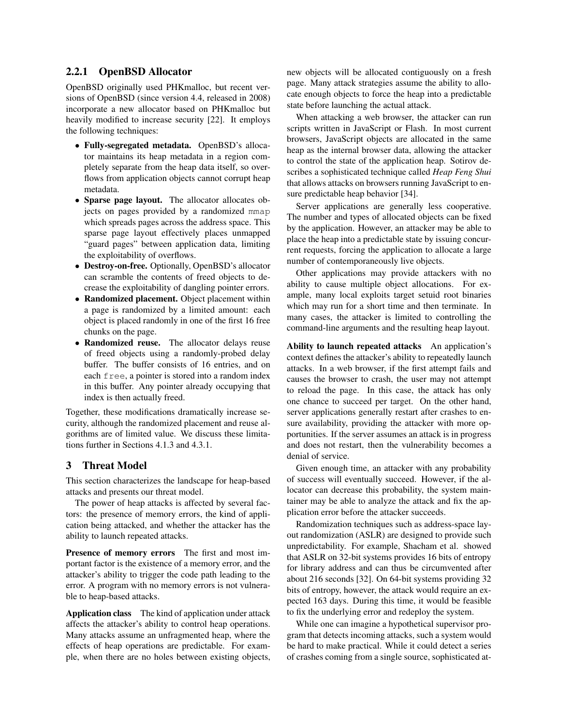# 2.2.1 OpenBSD Allocator

OpenBSD originally used PHKmalloc, but recent versions of OpenBSD (since version 4.4, released in 2008) incorporate a new allocator based on PHKmalloc but heavily modified to increase security [22]. It employs the following techniques:

- Fully-segregated metadata. OpenBSD's allocator maintains its heap metadata in a region completely separate from the heap data itself, so overflows from application objects cannot corrupt heap metadata.
- Sparse page layout. The allocator allocates objects on pages provided by a randomized mmap which spreads pages across the address space. This sparse page layout effectively places unmapped "guard pages" between application data, limiting the exploitability of overflows.
- Destroy-on-free. Optionally, OpenBSD's allocator can scramble the contents of freed objects to decrease the exploitability of dangling pointer errors.
- Randomized placement. Object placement within a page is randomized by a limited amount: each object is placed randomly in one of the first 16 free chunks on the page.
- Randomized reuse. The allocator delays reuse of freed objects using a randomly-probed delay buffer. The buffer consists of 16 entries, and on each free, a pointer is stored into a random index in this buffer. Any pointer already occupying that index is then actually freed.

Together, these modifications dramatically increase security, although the randomized placement and reuse algorithms are of limited value. We discuss these limitations further in Sections 4.1.3 and 4.3.1.

# 3 Threat Model

This section characterizes the landscape for heap-based attacks and presents our threat model.

The power of heap attacks is affected by several factors: the presence of memory errors, the kind of application being attacked, and whether the attacker has the ability to launch repeated attacks.

Presence of memory errors The first and most important factor is the existence of a memory error, and the attacker's ability to trigger the code path leading to the error. A program with no memory errors is not vulnerable to heap-based attacks.

Application class The kind of application under attack affects the attacker's ability to control heap operations. Many attacks assume an unfragmented heap, where the effects of heap operations are predictable. For example, when there are no holes between existing objects, new objects will be allocated contiguously on a fresh page. Many attack strategies assume the ability to allocate enough objects to force the heap into a predictable state before launching the actual attack.

When attacking a web browser, the attacker can run scripts written in JavaScript or Flash. In most current browsers, JavaScript objects are allocated in the same heap as the internal browser data, allowing the attacker to control the state of the application heap. Sotirov describes a sophisticated technique called *Heap Feng Shui* that allows attacks on browsers running JavaScript to ensure predictable heap behavior [34].

Server applications are generally less cooperative. The number and types of allocated objects can be fixed by the application. However, an attacker may be able to place the heap into a predictable state by issuing concurrent requests, forcing the application to allocate a large number of contemporaneously live objects.

Other applications may provide attackers with no ability to cause multiple object allocations. For example, many local exploits target setuid root binaries which may run for a short time and then terminate. In many cases, the attacker is limited to controlling the command-line arguments and the resulting heap layout.

Ability to launch repeated attacks An application's context defines the attacker's ability to repeatedly launch attacks. In a web browser, if the first attempt fails and causes the browser to crash, the user may not attempt to reload the page. In this case, the attack has only one chance to succeed per target. On the other hand, server applications generally restart after crashes to ensure availability, providing the attacker with more opportunities. If the server assumes an attack is in progress and does not restart, then the vulnerability becomes a denial of service.

Given enough time, an attacker with any probability of success will eventually succeed. However, if the allocator can decrease this probability, the system maintainer may be able to analyze the attack and fix the application error before the attacker succeeds.

Randomization techniques such as address-space layout randomization (ASLR) are designed to provide such unpredictability. For example, Shacham et al. showed that ASLR on 32-bit systems provides 16 bits of entropy for library address and can thus be circumvented after about 216 seconds [32]. On 64-bit systems providing 32 bits of entropy, however, the attack would require an expected 163 days. During this time, it would be feasible to fix the underlying error and redeploy the system.

While one can imagine a hypothetical supervisor program that detects incoming attacks, such a system would be hard to make practical. While it could detect a series of crashes coming from a single source, sophisticated at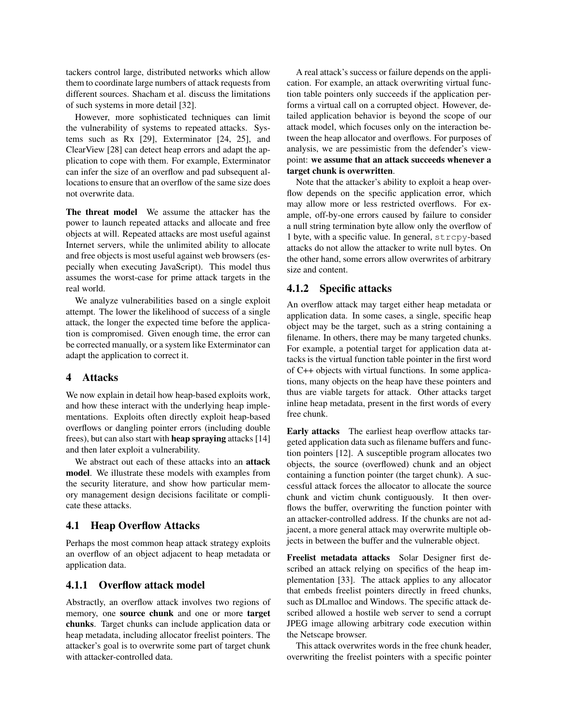tackers control large, distributed networks which allow them to coordinate large numbers of attack requests from different sources. Shacham et al. discuss the limitations of such systems in more detail [32].

However, more sophisticated techniques can limit the vulnerability of systems to repeated attacks. Systems such as Rx [29], Exterminator [24, 25], and ClearView [28] can detect heap errors and adapt the application to cope with them. For example, Exterminator can infer the size of an overflow and pad subsequent allocations to ensure that an overflow of the same size does not overwrite data.

The threat model We assume the attacker has the power to launch repeated attacks and allocate and free objects at will. Repeated attacks are most useful against Internet servers, while the unlimited ability to allocate and free objects is most useful against web browsers (especially when executing JavaScript). This model thus assumes the worst-case for prime attack targets in the real world.

We analyze vulnerabilities based on a single exploit attempt. The lower the likelihood of success of a single attack, the longer the expected time before the application is compromised. Given enough time, the error can be corrected manually, or a system like Exterminator can adapt the application to correct it.

# 4 Attacks

We now explain in detail how heap-based exploits work, and how these interact with the underlying heap implementations. Exploits often directly exploit heap-based overflows or dangling pointer errors (including double frees), but can also start with heap spraying attacks [14] and then later exploit a vulnerability.

We abstract out each of these attacks into an **attack** model. We illustrate these models with examples from the security literature, and show how particular memory management design decisions facilitate or complicate these attacks.

### 4.1 Heap Overflow Attacks

Perhaps the most common heap attack strategy exploits an overflow of an object adjacent to heap metadata or application data.

# 4.1.1 Overflow attack model

Abstractly, an overflow attack involves two regions of memory, one source chunk and one or more target chunks. Target chunks can include application data or heap metadata, including allocator freelist pointers. The attacker's goal is to overwrite some part of target chunk with attacker-controlled data.

A real attack's success or failure depends on the application. For example, an attack overwriting virtual function table pointers only succeeds if the application performs a virtual call on a corrupted object. However, detailed application behavior is beyond the scope of our attack model, which focuses only on the interaction between the heap allocator and overflows. For purposes of analysis, we are pessimistic from the defender's viewpoint: we assume that an attack succeeds whenever a target chunk is overwritten.

Note that the attacker's ability to exploit a heap overflow depends on the specific application error, which may allow more or less restricted overflows. For example, off-by-one errors caused by failure to consider a null string termination byte allow only the overflow of 1 byte, with a specific value. In general, strcpy-based attacks do not allow the attacker to write null bytes. On the other hand, some errors allow overwrites of arbitrary size and content.

#### 4.1.2 Specific attacks

An overflow attack may target either heap metadata or application data. In some cases, a single, specific heap object may be the target, such as a string containing a filename. In others, there may be many targeted chunks. For example, a potential target for application data attacks is the virtual function table pointer in the first word of C++ objects with virtual functions. In some applications, many objects on the heap have these pointers and thus are viable targets for attack. Other attacks target inline heap metadata, present in the first words of every free chunk.

Early attacks The earliest heap overflow attacks targeted application data such as filename buffers and function pointers [12]. A susceptible program allocates two objects, the source (overflowed) chunk and an object containing a function pointer (the target chunk). A successful attack forces the allocator to allocate the source chunk and victim chunk contiguously. It then overflows the buffer, overwriting the function pointer with an attacker-controlled address. If the chunks are not adjacent, a more general attack may overwrite multiple objects in between the buffer and the vulnerable object.

Freelist metadata attacks Solar Designer first described an attack relying on specifics of the heap implementation [33]. The attack applies to any allocator that embeds freelist pointers directly in freed chunks, such as DLmalloc and Windows. The specific attack described allowed a hostile web server to send a corrupt JPEG image allowing arbitrary code execution within the Netscape browser.

This attack overwrites words in the free chunk header, overwriting the freelist pointers with a specific pointer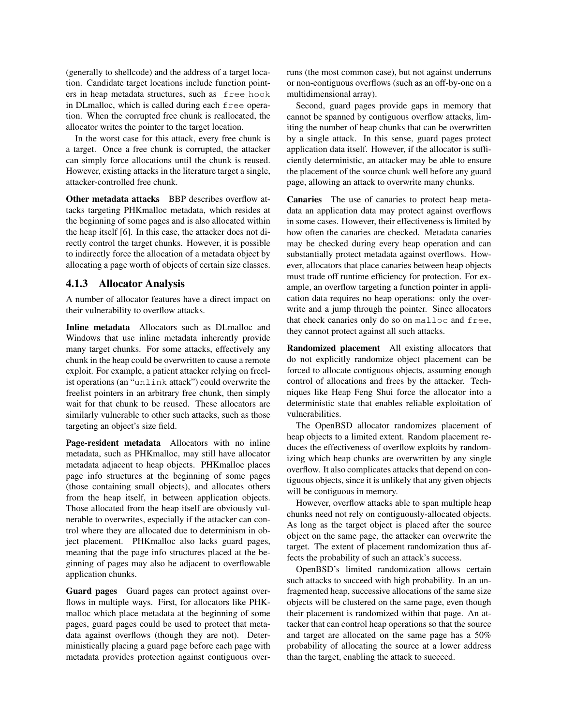(generally to shellcode) and the address of a target location. Candidate target locations include function pointers in heap metadata structures, such as free hook in DLmalloc, which is called during each free operation. When the corrupted free chunk is reallocated, the allocator writes the pointer to the target location.

In the worst case for this attack, every free chunk is a target. Once a free chunk is corrupted, the attacker can simply force allocations until the chunk is reused. However, existing attacks in the literature target a single, attacker-controlled free chunk.

Other metadata attacks BBP describes overflow attacks targeting PHKmalloc metadata, which resides at the beginning of some pages and is also allocated within the heap itself [6]. In this case, the attacker does not directly control the target chunks. However, it is possible to indirectly force the allocation of a metadata object by allocating a page worth of objects of certain size classes.

### 4.1.3 Allocator Analysis

A number of allocator features have a direct impact on their vulnerability to overflow attacks.

Inline metadata Allocators such as DLmalloc and Windows that use inline metadata inherently provide many target chunks. For some attacks, effectively any chunk in the heap could be overwritten to cause a remote exploit. For example, a patient attacker relying on freelist operations (an "unlink attack") could overwrite the freelist pointers in an arbitrary free chunk, then simply wait for that chunk to be reused. These allocators are similarly vulnerable to other such attacks, such as those targeting an object's size field.

Page-resident metadata Allocators with no inline metadata, such as PHKmalloc, may still have allocator metadata adjacent to heap objects. PHKmalloc places page info structures at the beginning of some pages (those containing small objects), and allocates others from the heap itself, in between application objects. Those allocated from the heap itself are obviously vulnerable to overwrites, especially if the attacker can control where they are allocated due to determinism in object placement. PHKmalloc also lacks guard pages, meaning that the page info structures placed at the beginning of pages may also be adjacent to overflowable application chunks.

Guard pages Guard pages can protect against overflows in multiple ways. First, for allocators like PHKmalloc which place metadata at the beginning of some pages, guard pages could be used to protect that metadata against overflows (though they are not). Deterministically placing a guard page before each page with metadata provides protection against contiguous overruns (the most common case), but not against underruns or non-contiguous overflows (such as an off-by-one on a multidimensional array).

Second, guard pages provide gaps in memory that cannot be spanned by contiguous overflow attacks, limiting the number of heap chunks that can be overwritten by a single attack. In this sense, guard pages protect application data itself. However, if the allocator is sufficiently deterministic, an attacker may be able to ensure the placement of the source chunk well before any guard page, allowing an attack to overwrite many chunks.

Canaries The use of canaries to protect heap metadata an application data may protect against overflows in some cases. However, their effectiveness is limited by how often the canaries are checked. Metadata canaries may be checked during every heap operation and can substantially protect metadata against overflows. However, allocators that place canaries between heap objects must trade off runtime efficiency for protection. For example, an overflow targeting a function pointer in application data requires no heap operations: only the overwrite and a jump through the pointer. Since allocators that check canaries only do so on malloc and free, they cannot protect against all such attacks.

Randomized placement All existing allocators that do not explicitly randomize object placement can be forced to allocate contiguous objects, assuming enough control of allocations and frees by the attacker. Techniques like Heap Feng Shui force the allocator into a deterministic state that enables reliable exploitation of vulnerabilities.

The OpenBSD allocator randomizes placement of heap objects to a limited extent. Random placement reduces the effectiveness of overflow exploits by randomizing which heap chunks are overwritten by any single overflow. It also complicates attacks that depend on contiguous objects, since it is unlikely that any given objects will be contiguous in memory.

However, overflow attacks able to span multiple heap chunks need not rely on contiguously-allocated objects. As long as the target object is placed after the source object on the same page, the attacker can overwrite the target. The extent of placement randomization thus affects the probability of such an attack's success.

OpenBSD's limited randomization allows certain such attacks to succeed with high probability. In an unfragmented heap, successive allocations of the same size objects will be clustered on the same page, even though their placement is randomized within that page. An attacker that can control heap operations so that the source and target are allocated on the same page has a 50% probability of allocating the source at a lower address than the target, enabling the attack to succeed.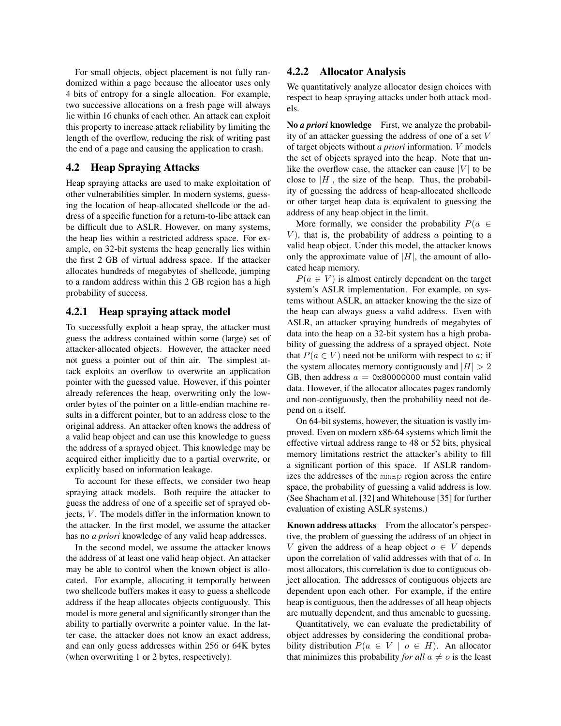For small objects, object placement is not fully randomized within a page because the allocator uses only 4 bits of entropy for a single allocation. For example, two successive allocations on a fresh page will always lie within 16 chunks of each other. An attack can exploit this property to increase attack reliability by limiting the length of the overflow, reducing the risk of writing past the end of a page and causing the application to crash.

### 4.2 Heap Spraying Attacks

Heap spraying attacks are used to make exploitation of other vulnerabilities simpler. In modern systems, guessing the location of heap-allocated shellcode or the address of a specific function for a return-to-libc attack can be difficult due to ASLR. However, on many systems, the heap lies within a restricted address space. For example, on 32-bit systems the heap generally lies within the first 2 GB of virtual address space. If the attacker allocates hundreds of megabytes of shellcode, jumping to a random address within this 2 GB region has a high probability of success.

### 4.2.1 Heap spraying attack model

To successfully exploit a heap spray, the attacker must guess the address contained within some (large) set of attacker-allocated objects. However, the attacker need not guess a pointer out of thin air. The simplest attack exploits an overflow to overwrite an application pointer with the guessed value. However, if this pointer already references the heap, overwriting only the loworder bytes of the pointer on a little-endian machine results in a different pointer, but to an address close to the original address. An attacker often knows the address of a valid heap object and can use this knowledge to guess the address of a sprayed object. This knowledge may be acquired either implicitly due to a partial overwrite, or explicitly based on information leakage.

To account for these effects, we consider two heap spraying attack models. Both require the attacker to guess the address of one of a specific set of sprayed objects,  $V$ . The models differ in the information known to the attacker. In the first model, we assume the attacker has no *a priori* knowledge of any valid heap addresses.

In the second model, we assume the attacker knows the address of at least one valid heap object. An attacker may be able to control when the known object is allocated. For example, allocating it temporally between two shellcode buffers makes it easy to guess a shellcode address if the heap allocates objects contiguously. This model is more general and significantly stronger than the ability to partially overwrite a pointer value. In the latter case, the attacker does not know an exact address, and can only guess addresses within 256 or 64K bytes (when overwriting 1 or 2 bytes, respectively).

#### 4.2.2 Allocator Analysis

We quantitatively analyze allocator design choices with respect to heap spraying attacks under both attack models.

No *a priori* knowledge First, we analyze the probability of an attacker guessing the address of one of a set V of target objects without *a priori* information. V models the set of objects sprayed into the heap. Note that unlike the overflow case, the attacker can cause  $|V|$  to be close to  $|H|$ , the size of the heap. Thus, the probability of guessing the address of heap-allocated shellcode or other target heap data is equivalent to guessing the address of any heap object in the limit.

More formally, we consider the probability  $P(a \in$  $V$ ), that is, the probability of address  $\alpha$  pointing to a valid heap object. Under this model, the attacker knows only the approximate value of  $|H|$ , the amount of allocated heap memory.

 $P(a \in V)$  is almost entirely dependent on the target system's ASLR implementation. For example, on systems without ASLR, an attacker knowing the the size of the heap can always guess a valid address. Even with ASLR, an attacker spraying hundreds of megabytes of data into the heap on a 32-bit system has a high probability of guessing the address of a sprayed object. Note that  $P(a \in V)$  need not be uniform with respect to a: if the system allocates memory contiguously and  $|H| > 2$ GB, then address  $a = 0x80000000$  must contain valid data. However, if the allocator allocates pages randomly and non-contiguously, then the probability need not depend on a itself.

On 64-bit systems, however, the situation is vastly improved. Even on modern x86-64 systems which limit the effective virtual address range to 48 or 52 bits, physical memory limitations restrict the attacker's ability to fill a significant portion of this space. If ASLR randomizes the addresses of the mmap region across the entire space, the probability of guessing a valid address is low. (See Shacham et al. [32] and Whitehouse [35] for further evaluation of existing ASLR systems.)

Known address attacks From the allocator's perspective, the problem of guessing the address of an object in V given the address of a heap object  $o \in V$  depends upon the correlation of valid addresses with that of o. In most allocators, this correlation is due to contiguous object allocation. The addresses of contiguous objects are dependent upon each other. For example, if the entire heap is contiguous, then the addresses of all heap objects are mutually dependent, and thus amenable to guessing.

Quantitatively, we can evaluate the predictability of object addresses by considering the conditional probability distribution  $P(a \in V \mid o \in H)$ . An allocator that minimizes this probability *for all*  $a \neq o$  is the least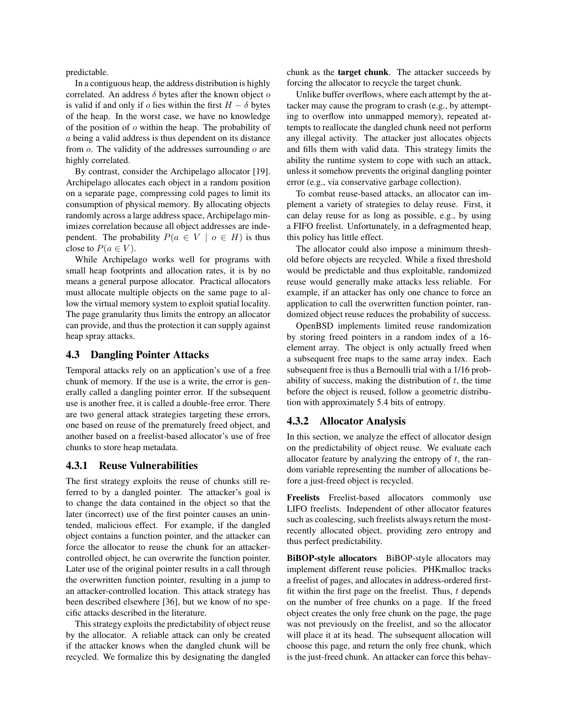predictable.

In a contiguous heap, the address distribution is highly correlated. An address  $\delta$  bytes after the known object  $o$ is valid if and only if o lies within the first  $H - \delta$  bytes of the heap. In the worst case, we have no knowledge of the position of  $o$  within the heap. The probability of a being a valid address is thus dependent on its distance from  $\alpha$ . The validity of the addresses surrounding  $\alpha$  are highly correlated.

By contrast, consider the Archipelago allocator [19]. Archipelago allocates each object in a random position on a separate page, compressing cold pages to limit its consumption of physical memory. By allocating objects randomly across a large address space, Archipelago minimizes correlation because all object addresses are independent. The probability  $P(a \in V \mid o \in H)$  is thus close to  $P(a \in V)$ .

While Archipelago works well for programs with small heap footprints and allocation rates, it is by no means a general purpose allocator. Practical allocators must allocate multiple objects on the same page to allow the virtual memory system to exploit spatial locality. The page granularity thus limits the entropy an allocator can provide, and thus the protection it can supply against heap spray attacks.

#### 4.3 Dangling Pointer Attacks

Temporal attacks rely on an application's use of a free chunk of memory. If the use is a write, the error is generally called a dangling pointer error. If the subsequent use is another free, it is called a double-free error. There are two general attack strategies targeting these errors, one based on reuse of the prematurely freed object, and another based on a freelist-based allocator's use of free chunks to store heap metadata.

#### 4.3.1 Reuse Vulnerabilities

The first strategy exploits the reuse of chunks still referred to by a dangled pointer. The attacker's goal is to change the data contained in the object so that the later (incorrect) use of the first pointer causes an unintended, malicious effect. For example, if the dangled object contains a function pointer, and the attacker can force the allocator to reuse the chunk for an attackercontrolled object, he can overwrite the function pointer. Later use of the original pointer results in a call through the overwritten function pointer, resulting in a jump to an attacker-controlled location. This attack strategy has been described elsewhere [36], but we know of no specific attacks described in the literature.

This strategy exploits the predictability of object reuse by the allocator. A reliable attack can only be created if the attacker knows when the dangled chunk will be recycled. We formalize this by designating the dangled

chunk as the target chunk. The attacker succeeds by forcing the allocator to recycle the target chunk.

Unlike buffer overflows, where each attempt by the attacker may cause the program to crash (e.g., by attempting to overflow into unmapped memory), repeated attempts to reallocate the dangled chunk need not perform any illegal activity. The attacker just allocates objects and fills them with valid data. This strategy limits the ability the runtime system to cope with such an attack, unless it somehow prevents the original dangling pointer error (e.g., via conservative garbage collection).

To combat reuse-based attacks, an allocator can implement a variety of strategies to delay reuse. First, it can delay reuse for as long as possible, e.g., by using a FIFO freelist. Unfortunately, in a defragmented heap, this policy has little effect.

The allocator could also impose a minimum threshold before objects are recycled. While a fixed threshold would be predictable and thus exploitable, randomized reuse would generally make attacks less reliable. For example, if an attacker has only one chance to force an application to call the overwritten function pointer, randomized object reuse reduces the probability of success.

OpenBSD implements limited reuse randomization by storing freed pointers in a random index of a 16 element array. The object is only actually freed when a subsequent free maps to the same array index. Each subsequent free is thus a Bernoulli trial with a 1/16 probability of success, making the distribution of  $t$ , the time before the object is reused, follow a geometric distribution with approximately 5.4 bits of entropy.

#### 4.3.2 Allocator Analysis

In this section, we analyze the effect of allocator design on the predictability of object reuse. We evaluate each allocator feature by analyzing the entropy of  $t$ , the random variable representing the number of allocations before a just-freed object is recycled.

Freelists Freelist-based allocators commonly use LIFO freelists. Independent of other allocator features such as coalescing, such freelists always return the mostrecently allocated object, providing zero entropy and thus perfect predictability.

BiBOP-style allocators BiBOP-style allocators may implement different reuse policies. PHKmalloc tracks a freelist of pages, and allocates in address-ordered firstfit within the first page on the freelist. Thus,  $t$  depends on the number of free chunks on a page. If the freed object creates the only free chunk on the page, the page was not previously on the freelist, and so the allocator will place it at its head. The subsequent allocation will choose this page, and return the only free chunk, which is the just-freed chunk. An attacker can force this behav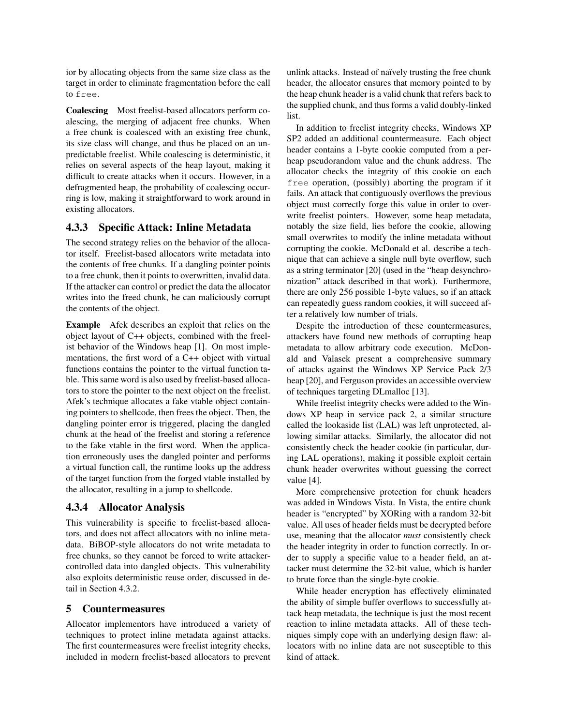ior by allocating objects from the same size class as the target in order to eliminate fragmentation before the call to free.

Coalescing Most freelist-based allocators perform coalescing, the merging of adjacent free chunks. When a free chunk is coalesced with an existing free chunk, its size class will change, and thus be placed on an unpredictable freelist. While coalescing is deterministic, it relies on several aspects of the heap layout, making it difficult to create attacks when it occurs. However, in a defragmented heap, the probability of coalescing occurring is low, making it straightforward to work around in existing allocators.

### 4.3.3 Specific Attack: Inline Metadata

The second strategy relies on the behavior of the allocator itself. Freelist-based allocators write metadata into the contents of free chunks. If a dangling pointer points to a free chunk, then it points to overwritten, invalid data. If the attacker can control or predict the data the allocator writes into the freed chunk, he can maliciously corrupt the contents of the object.

Example Afek describes an exploit that relies on the object layout of C++ objects, combined with the freelist behavior of the Windows heap [1]. On most implementations, the first word of a C++ object with virtual functions contains the pointer to the virtual function table. This same word is also used by freelist-based allocators to store the pointer to the next object on the freelist. Afek's technique allocates a fake vtable object containing pointers to shellcode, then frees the object. Then, the dangling pointer error is triggered, placing the dangled chunk at the head of the freelist and storing a reference to the fake vtable in the first word. When the application erroneously uses the dangled pointer and performs a virtual function call, the runtime looks up the address of the target function from the forged vtable installed by the allocator, resulting in a jump to shellcode.

#### 4.3.4 Allocator Analysis

This vulnerability is specific to freelist-based allocators, and does not affect allocators with no inline metadata. BiBOP-style allocators do not write metadata to free chunks, so they cannot be forced to write attackercontrolled data into dangled objects. This vulnerability also exploits deterministic reuse order, discussed in detail in Section 4.3.2.

### 5 Countermeasures

Allocator implementors have introduced a variety of techniques to protect inline metadata against attacks. The first countermeasures were freelist integrity checks, included in modern freelist-based allocators to prevent

unlink attacks. Instead of naïvely trusting the free chunk header, the allocator ensures that memory pointed to by the heap chunk header is a valid chunk that refers back to the supplied chunk, and thus forms a valid doubly-linked list.

In addition to freelist integrity checks, Windows XP SP2 added an additional countermeasure. Each object header contains a 1-byte cookie computed from a perheap pseudorandom value and the chunk address. The allocator checks the integrity of this cookie on each free operation, (possibly) aborting the program if it fails. An attack that contiguously overflows the previous object must correctly forge this value in order to overwrite freelist pointers. However, some heap metadata, notably the size field, lies before the cookie, allowing small overwrites to modify the inline metadata without corrupting the cookie. McDonald et al. describe a technique that can achieve a single null byte overflow, such as a string terminator [20] (used in the "heap desynchronization" attack described in that work). Furthermore, there are only 256 possible 1-byte values, so if an attack can repeatedly guess random cookies, it will succeed after a relatively low number of trials.

Despite the introduction of these countermeasures, attackers have found new methods of corrupting heap metadata to allow arbitrary code execution. McDonald and Valasek present a comprehensive summary of attacks against the Windows XP Service Pack 2/3 heap [20], and Ferguson provides an accessible overview of techniques targeting DLmalloc [13].

While freelist integrity checks were added to the Windows XP heap in service pack 2, a similar structure called the lookaside list (LAL) was left unprotected, allowing similar attacks. Similarly, the allocator did not consistently check the header cookie (in particular, during LAL operations), making it possible exploit certain chunk header overwrites without guessing the correct value [4].

More comprehensive protection for chunk headers was added in Windows Vista. In Vista, the entire chunk header is "encrypted" by XORing with a random 32-bit value. All uses of header fields must be decrypted before use, meaning that the allocator *must* consistently check the header integrity in order to function correctly. In order to supply a specific value to a header field, an attacker must determine the 32-bit value, which is harder to brute force than the single-byte cookie.

While header encryption has effectively eliminated the ability of simple buffer overflows to successfully attack heap metadata, the technique is just the most recent reaction to inline metadata attacks. All of these techniques simply cope with an underlying design flaw: allocators with no inline data are not susceptible to this kind of attack.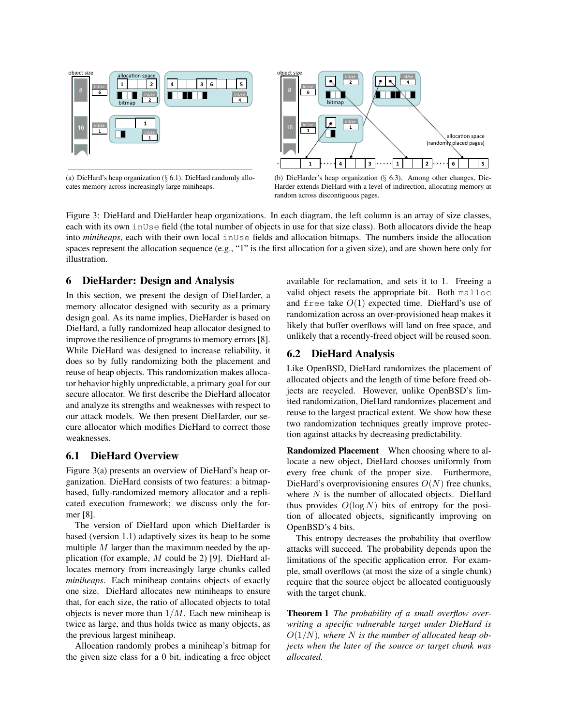

cates memory across increasingly large miniheaps. (a) DieHard's heap organization  $(\S 6.1)$ . DieHard randomly allo-



 $Harder$  extends DieHard with a level of indirection, allocating memory at  $Harder$  extends DieHard with a level of indirection, allocating memory at (b) DieHarder's heap organization (§ 6.3). Among other changes, Dierandom across discontiguous pages.

Figure 3: DieHard and DieHarder heap organizations. In each diagram, the left column is an array of size classes, each with its own inUse field (the total number of objects in use for that size class). Both allocators divide the heap into *miniheaps*, each with their own local inUse fields and allocation bitmaps. The numbers inside the allocation spaces represent the allocation sequence (e.g., "1" is the first allocation for a given size), and are shown here only for illustration.

### 6 DieHarder: Design and Analysis

In this section, we present the design of DieHarder, a memory allocator designed with security as a primary design goal. As its name implies, DieHarder is based on DieHard, a fully randomized heap allocator designed to improve the resilience of programs to memory errors [8]. While DieHard was designed to increase reliability, it does so by fully randomizing both the placement and reuse of heap objects. This randomization makes allocator behavior highly unpredictable, a primary goal for our secure allocator. We first describe the DieHard allocator and analyze its strengths and weaknesses with respect to our attack models. We then present DieHarder, our secure allocator which modifies DieHard to correct those weaknesses.

#### 6.1 DieHard Overview

Figure 3(a) presents an overview of DieHard's heap organization. DieHard consists of two features: a bitmapbased, fully-randomized memory allocator and a replicated execution framework; we discuss only the former [8].

The version of DieHard upon which DieHarder is based (version 1.1) adaptively sizes its heap to be some multiple  $M$  larger than the maximum needed by the application (for example, M could be 2) [9]. DieHard allocates memory from increasingly large chunks called *miniheaps*. Each miniheap contains objects of exactly one size. DieHard allocates new miniheaps to ensure that, for each size, the ratio of allocated objects to total objects is never more than  $1/M$ . Each new miniheap is twice as large, and thus holds twice as many objects, as the previous largest miniheap.

Allocation randomly probes a miniheap's bitmap for the given size class for a 0 bit, indicating a free object available for reclamation, and sets it to 1. Freeing a valid object resets the appropriate bit. Both malloc and free take  $O(1)$  expected time. DieHard's use of randomization across an over-provisioned heap makes it likely that buffer overflows will land on free space, and unlikely that a recently-freed object will be reused soon.

### 6.2 DieHard Analysis

Like OpenBSD, DieHard randomizes the placement of allocated objects and the length of time before freed objects are recycled. However, unlike OpenBSD's limited randomization, DieHard randomizes placement and reuse to the largest practical extent. We show how these two randomization techniques greatly improve protection against attacks by decreasing predictability.

Randomized Placement When choosing where to allocate a new object, DieHard chooses uniformly from every free chunk of the proper size. Furthermore, DieHard's overprovisioning ensures  $O(N)$  free chunks, where  $N$  is the number of allocated objects. DieHard thus provides  $O(\log N)$  bits of entropy for the position of allocated objects, significantly improving on OpenBSD's 4 bits.

This entropy decreases the probability that overflow attacks will succeed. The probability depends upon the limitations of the specific application error. For example, small overflows (at most the size of a single chunk) require that the source object be allocated contiguously with the target chunk.

Theorem 1 *The probability of a small overflow overwriting a specific vulnerable target under DieHard is*  $O(1/N)$ , where N is the number of allocated heap ob*jects when the later of the source or target chunk was allocated.*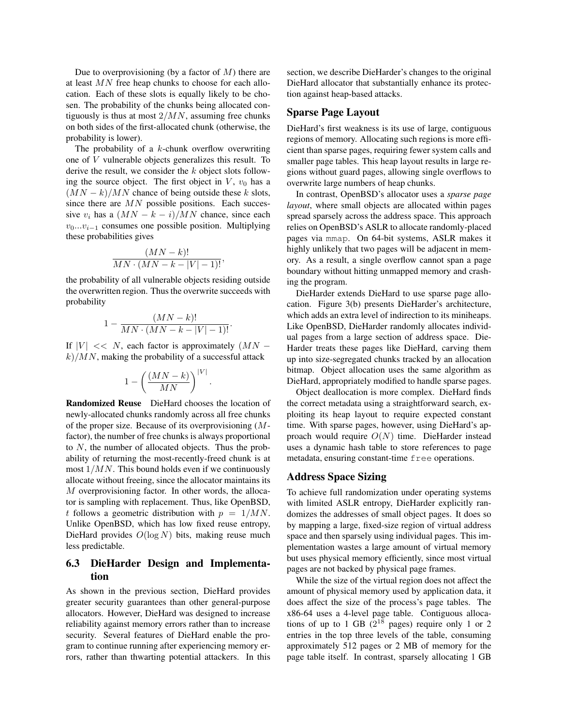Due to overprovisioning (by a factor of  $M$ ) there are at least MN free heap chunks to choose for each allocation. Each of these slots is equally likely to be chosen. The probability of the chunks being allocated contiguously is thus at most  $2/MN$ , assuming free chunks on both sides of the first-allocated chunk (otherwise, the probability is lower).

The probability of a  $k$ -chunk overflow overwriting one of V vulnerable objects generalizes this result. To derive the result, we consider the  $k$  object slots following the source object. The first object in  $V$ ,  $v_0$  has a  $(MN - k)/MN$  chance of being outside these k slots, since there are  $MN$  possible positions. Each successive  $v_i$  has a  $(MN - k - i)/MN$  chance, since each  $v_0...v_{i-1}$  consumes one possible position. Multiplying these probabilities gives

$$
\frac{(MN-k)!}{MN\cdot (MN-k-|V|-1)!},
$$

the probability of all vulnerable objects residing outside the overwritten region. Thus the overwrite succeeds with probability

$$
1 - \frac{(MN-k)!}{MN \cdot (MN-k-|V|-1)!}.
$$

If  $|V| \ll N$ , each factor is approximately  $(MN$  $k$ / $MN$ , making the probability of a successful attack

$$
1-\left(\frac{(MN-k)}{MN}\right)^{|V|}
$$

.

Randomized Reuse DieHard chooses the location of newly-allocated chunks randomly across all free chunks of the proper size. Because of its overprovisioning  $(M$ factor), the number of free chunks is always proportional to N, the number of allocated objects. Thus the probability of returning the most-recently-freed chunk is at most  $1/MN$ . This bound holds even if we continuously allocate without freeing, since the allocator maintains its M overprovisioning factor. In other words, the allocator is sampling with replacement. Thus, like OpenBSD, t follows a geometric distribution with  $p = 1/MN$ . Unlike OpenBSD, which has low fixed reuse entropy, DieHard provides  $O(\log N)$  bits, making reuse much less predictable.

# 6.3 DieHarder Design and Implementation

As shown in the previous section, DieHard provides greater security guarantees than other general-purpose allocators. However, DieHard was designed to increase reliability against memory errors rather than to increase security. Several features of DieHard enable the program to continue running after experiencing memory errors, rather than thwarting potential attackers. In this section, we describe DieHarder's changes to the original DieHard allocator that substantially enhance its protection against heap-based attacks.

### Sparse Page Layout

DieHard's first weakness is its use of large, contiguous regions of memory. Allocating such regions is more efficient than sparse pages, requiring fewer system calls and smaller page tables. This heap layout results in large regions without guard pages, allowing single overflows to overwrite large numbers of heap chunks.

In contrast, OpenBSD's allocator uses a *sparse page layout*, where small objects are allocated within pages spread sparsely across the address space. This approach relies on OpenBSD's ASLR to allocate randomly-placed pages via mmap. On 64-bit systems, ASLR makes it highly unlikely that two pages will be adjacent in memory. As a result, a single overflow cannot span a page boundary without hitting unmapped memory and crashing the program.

DieHarder extends DieHard to use sparse page allocation. Figure 3(b) presents DieHarder's architecture, which adds an extra level of indirection to its miniheaps. Like OpenBSD, DieHarder randomly allocates individual pages from a large section of address space. Die-Harder treats these pages like DieHard, carving them up into size-segregated chunks tracked by an allocation bitmap. Object allocation uses the same algorithm as DieHard, appropriately modified to handle sparse pages.

Object deallocation is more complex. DieHard finds the correct metadata using a straightforward search, exploiting its heap layout to require expected constant time. With sparse pages, however, using DieHard's approach would require  $O(N)$  time. DieHarder instead uses a dynamic hash table to store references to page metadata, ensuring constant-time free operations.

#### Address Space Sizing

To achieve full randomization under operating systems with limited ASLR entropy, DieHarder explicitly randomizes the addresses of small object pages. It does so by mapping a large, fixed-size region of virtual address space and then sparsely using individual pages. This implementation wastes a large amount of virtual memory but uses physical memory efficiently, since most virtual pages are not backed by physical page frames.

While the size of the virtual region does not affect the amount of physical memory used by application data, it does affect the size of the process's page tables. The x86-64 uses a 4-level page table. Contiguous allocations of up to 1 GB  $(2^{18}$  pages) require only 1 or 2 entries in the top three levels of the table, consuming approximately 512 pages or 2 MB of memory for the page table itself. In contrast, sparsely allocating 1 GB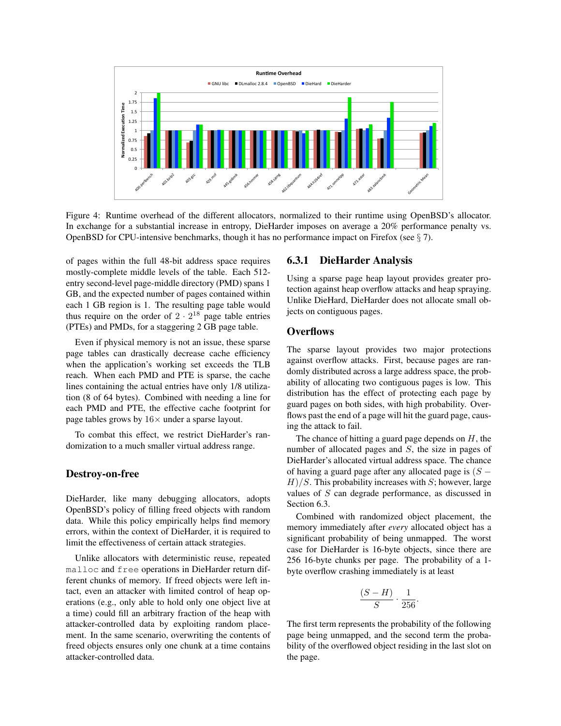

Figure 4: Runtime overhead of the different allocators, normalized to their runtime using OpenBSD's allocator. In exchange for a substantial increase in entropy, DieHarder imposes on average a 20% performance penalty vs. OpenBSD for CPU-intensive benchmarks, though it has no performance impact on Firefox (see § 7).

of pages within the full 48-bit address space requires mostly-complete middle levels of the table. Each 512 entry second-level page-middle directory (PMD) spans 1 GB, and the expected number of pages contained within each 1 GB region is 1. The resulting page table would thus require on the order of  $2 \cdot 2^{18}$  page table entries (PTEs) and PMDs, for a staggering 2 GB page table.

Even if physical memory is not an issue, these sparse page tables can drastically decrease cache efficiency when the application's working set exceeds the TLB reach. When each PMD and PTE is sparse, the cache lines containing the actual entries have only 1/8 utilization (8 of 64 bytes). Combined with needing a line for each PMD and PTE, the effective cache footprint for page tables grows by  $16\times$  under a sparse layout.

To combat this effect, we restrict DieHarder's randomization to a much smaller virtual address range.

#### Destroy-on-free

DieHarder, like many debugging allocators, adopts OpenBSD's policy of filling freed objects with random data. While this policy empirically helps find memory errors, within the context of DieHarder, it is required to limit the effectiveness of certain attack strategies.

Unlike allocators with deterministic reuse, repeated malloc and free operations in DieHarder return different chunks of memory. If freed objects were left intact, even an attacker with limited control of heap operations (e.g., only able to hold only one object live at a time) could fill an arbitrary fraction of the heap with attacker-controlled data by exploiting random placement. In the same scenario, overwriting the contents of freed objects ensures only one chunk at a time contains attacker-controlled data.

#### 6.3.1 DieHarder Analysis

Using a sparse page heap layout provides greater protection against heap overflow attacks and heap spraying. Unlike DieHard, DieHarder does not allocate small objects on contiguous pages.

## **Overflows**

The sparse layout provides two major protections against overflow attacks. First, because pages are randomly distributed across a large address space, the probability of allocating two contiguous pages is low. This distribution has the effect of protecting each page by guard pages on both sides, with high probability. Overflows past the end of a page will hit the guard page, causing the attack to fail.

The chance of hitting a guard page depends on  $H$ , the number of allocated pages and S, the size in pages of DieHarder's allocated virtual address space. The chance of having a guard page after any allocated page is  $(S H)/S$ . This probability increases with S; however, large values of S can degrade performance, as discussed in Section 6.3.

Combined with randomized object placement, the memory immediately after *every* allocated object has a significant probability of being unmapped. The worst case for DieHarder is 16-byte objects, since there are 256 16-byte chunks per page. The probability of a 1 byte overflow crashing immediately is at least

$$
\frac{(S-H)}{S} \cdot \frac{1}{256}.
$$

The first term represents the probability of the following page being unmapped, and the second term the probability of the overflowed object residing in the last slot on the page.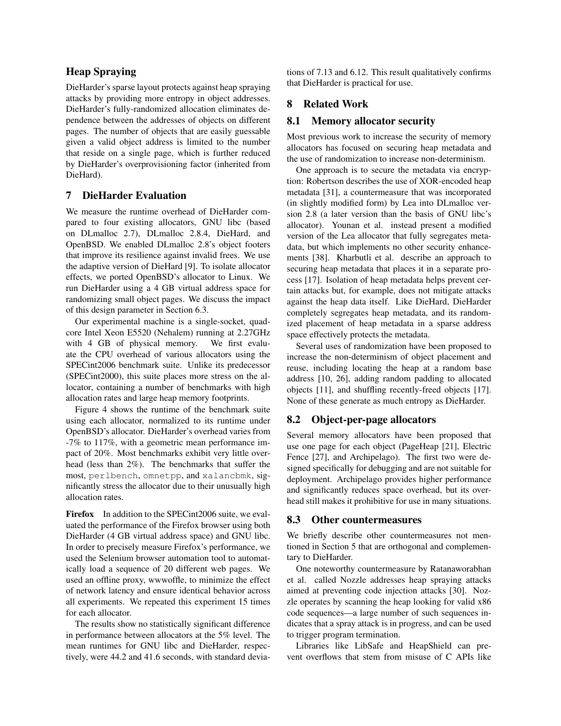# Heap Spraying

DieHarder's sparse layout protects against heap spraying attacks by providing more entropy in object addresses. DieHarder's fully-randomized allocation eliminates dependence between the addresses of objects on different pages. The number of objects that are easily guessable given a valid object address is limited to the number that reside on a single page, which is further reduced by DieHarder's overprovisioning factor (inherited from DieHard).

### 7 DieHarder Evaluation

We measure the runtime overhead of DieHarder compared to four existing allocators, GNU libc (based on DLmalloc 2.7), DLmalloc 2.8.4, DieHard, and OpenBSD. We enabled DLmalloc 2.8's object footers that improve its resilience against invalid frees. We use the adaptive version of DieHard [9]. To isolate allocator effects, we ported OpenBSD's allocator to Linux. We run DieHarder using a 4 GB virtual address space for randomizing small object pages. We discuss the impact of this design parameter in Section 6.3.

Our experimental machine is a single-socket, quadcore Intel Xeon E5520 (Nehalem) running at 2.27GHz with 4 GB of physical memory. We first evaluate the CPU overhead of various allocators using the SPECint2006 benchmark suite. Unlike its predecessor (SPECint2000), this suite places more stress on the allocator, containing a number of benchmarks with high allocation rates and large heap memory footprints.

Figure 4 shows the runtime of the benchmark suite using each allocator, normalized to its runtime under OpenBSD's allocator. DieHarder's overhead varies from -7% to 117%, with a geometric mean performance impact of 20%. Most benchmarks exhibit very little overhead (less than 2%). The benchmarks that suffer the most, perlbench, omnetpp, and xalancbmk, significantly stress the allocator due to their unusually high allocation rates.

Firefox In addition to the SPECint2006 suite, we evaluated the performance of the Firefox browser using both DieHarder (4 GB virtual address space) and GNU libc. In order to precisely measure Firefox's performance, we used the Selenium browser automation tool to automatically load a sequence of 20 different web pages. We used an offline proxy, wwwoffle, to minimize the effect of network latency and ensure identical behavior across all experiments. We repeated this experiment 15 times for each allocator.

The results show no statistically significant difference in performance between allocators at the 5% level. The mean runtimes for GNU libc and DieHarder, respectively, were 44.2 and 41.6 seconds, with standard deviations of 7.13 and 6.12. This result qualitatively confirms that DieHarder is practical for use.

# 8 Related Work

### 8.1 Memory allocator security

Most previous work to increase the security of memory allocators has focused on securing heap metadata and the use of randomization to increase non-determinism.

One approach is to secure the metadata via encryption: Robertson describes the use of XOR-encoded heap metadata [31], a countermeasure that was incorporated (in slightly modified form) by Lea into DLmalloc version 2.8 (a later version than the basis of GNU libc's allocator). Younan et al. instead present a modified version of the Lea allocator that fully segregates metadata, but which implements no other security enhancements [38]. Kharbutli et al. describe an approach to securing heap metadata that places it in a separate process [17]. Isolation of heap metadata helps prevent certain attacks but, for example, does not mitigate attacks against the heap data itself. Like DieHard, DieHarder completely segregates heap metadata, and its randomized placement of heap metadata in a sparse address space effectively protects the metadata.

Several uses of randomization have been proposed to increase the non-determinism of object placement and reuse, including locating the heap at a random base address [10, 26], adding random padding to allocated objects [11], and shuffling recently-freed objects [17]. None of these generate as much entropy as DieHarder.

# 8.2 Object-per-page allocators

Several memory allocators have been proposed that use one page for each object (PageHeap [21], Electric Fence [27], and Archipelago). The first two were designed specifically for debugging and are not suitable for deployment. Archipelago provides higher performance and significantly reduces space overhead, but its overhead still makes it prohibitive for use in many situations.

#### 8.3 Other countermeasures

We briefly describe other countermeasures not mentioned in Section 5 that are orthogonal and complementary to DieHarder.

One noteworthy countermeasure by Ratanaworabhan et al. called Nozzle addresses heap spraying attacks aimed at preventing code injection attacks [30]. Nozzle operates by scanning the heap looking for valid x86 code sequences—a large number of such sequences indicates that a spray attack is in progress, and can be used to trigger program termination.

Libraries like LibSafe and HeapShield can prevent overflows that stem from misuse of C APIs like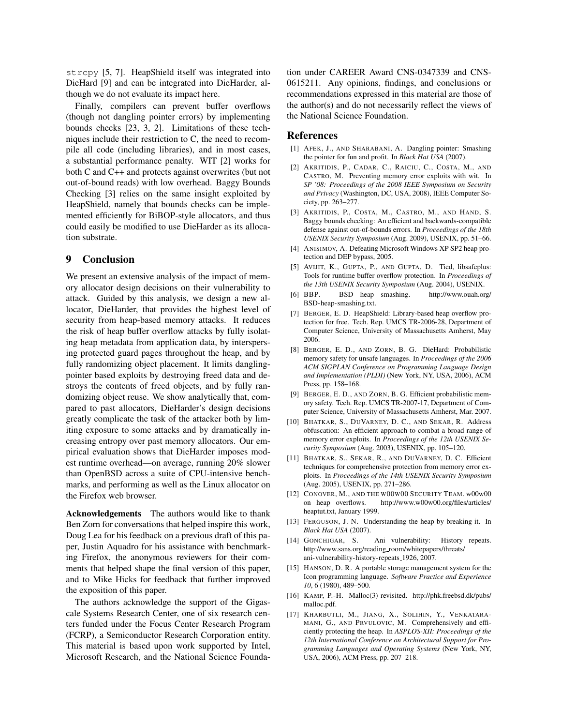strcpy [5, 7]. HeapShield itself was integrated into DieHard [9] and can be integrated into DieHarder, although we do not evaluate its impact here.

Finally, compilers can prevent buffer overflows (though not dangling pointer errors) by implementing bounds checks [23, 3, 2]. Limitations of these techniques include their restriction to C, the need to recompile all code (including libraries), and in most cases, a substantial performance penalty. WIT [2] works for both C and C++ and protects against overwrites (but not out-of-bound reads) with low overhead. Baggy Bounds Checking [3] relies on the same insight exploited by HeapShield, namely that bounds checks can be implemented efficiently for BiBOP-style allocators, and thus could easily be modified to use DieHarder as its allocation substrate.

# 9 Conclusion

We present an extensive analysis of the impact of memory allocator design decisions on their vulnerability to attack. Guided by this analysis, we design a new allocator, DieHarder, that provides the highest level of security from heap-based memory attacks. It reduces the risk of heap buffer overflow attacks by fully isolating heap metadata from application data, by interspersing protected guard pages throughout the heap, and by fully randomizing object placement. It limits danglingpointer based exploits by destroying freed data and destroys the contents of freed objects, and by fully randomizing object reuse. We show analytically that, compared to past allocators, DieHarder's design decisions greatly complicate the task of the attacker both by limiting exposure to some attacks and by dramatically increasing entropy over past memory allocators. Our empirical evaluation shows that DieHarder imposes modest runtime overhead—on average, running 20% slower than OpenBSD across a suite of CPU-intensive benchmarks, and performing as well as the Linux allocator on the Firefox web browser.

Acknowledgements The authors would like to thank Ben Zorn for conversations that helped inspire this work, Doug Lea for his feedback on a previous draft of this paper, Justin Aquadro for his assistance with benchmarking Firefox, the anonymous reviewers for their comments that helped shape the final version of this paper, and to Mike Hicks for feedback that further improved the exposition of this paper.

The authors acknowledge the support of the Gigascale Systems Research Center, one of six research centers funded under the Focus Center Research Program (FCRP), a Semiconductor Research Corporation entity. This material is based upon work supported by Intel, Microsoft Research, and the National Science Foundation under CAREER Award CNS-0347339 and CNS-0615211. Any opinions, findings, and conclusions or recommendations expressed in this material are those of the author(s) and do not necessarily reflect the views of the National Science Foundation.

#### References

- [1] AFEK, J., AND SHARABANI, A. Dangling pointer: Smashing the pointer for fun and profit. In *Black Hat USA* (2007).
- [2] AKRITIDIS, P., CADAR, C., RAICIU, C., COSTA, M., AND CASTRO, M. Preventing memory error exploits with wit. In *SP '08: Proceedings of the 2008 IEEE Symposium on Security and Privacy* (Washington, DC, USA, 2008), IEEE Computer Society, pp. 263–277.
- [3] AKRITIDIS, P., COSTA, M., CASTRO, M., AND HAND, S. Baggy bounds checking: An efficient and backwards-compatible defense against out-of-bounds errors. In *Proceedings of the 18th USENIX Security Symposium* (Aug. 2009), USENIX, pp. 51–66.
- [4] ANISIMOV, A. Defeating Microsoft Windows XP SP2 heap protection and DEP bypass, 2005.
- [5] AVIJIT, K., GUPTA, P., AND GUPTA, D. Tied, libsafeplus: Tools for runtime buffer overflow protection. In *Proceedings of the 13th USENIX Security Symposium* (Aug. 2004), USENIX.
- [6] BBP. BSD heap smashing. http://www.ouah.org/ BSD-heap-smashing.txt.
- [7] BERGER, E. D. HeapShield: Library-based heap overflow protection for free. Tech. Rep. UMCS TR-2006-28, Department of Computer Science, University of Massachusetts Amherst, May 2006.
- [8] BERGER, E. D., AND ZORN, B. G. DieHard: Probabilistic memory safety for unsafe languages. In *Proceedings of the 2006 ACM SIGPLAN Conference on Programming Language Design and Implementation (PLDI)* (New York, NY, USA, 2006), ACM Press, pp. 158–168.
- [9] BERGER, E. D., AND ZORN, B. G. Efficient probabilistic memory safety. Tech. Rep. UMCS TR-2007-17, Department of Computer Science, University of Massachusetts Amherst, Mar. 2007.
- [10] BHATKAR, S., DUVARNEY, D. C., AND SEKAR, R. Address obfuscation: An efficient approach to combat a broad range of memory error exploits. In *Proceedings of the 12th USENIX Security Symposium* (Aug. 2003), USENIX, pp. 105–120.
- [11] BHATKAR, S., SEKAR, R., AND DUVARNEY, D. C. Efficient techniques for comprehensive protection from memory error exploits. In *Proceedings of the 14th USENIX Security Symposium* (Aug. 2005), USENIX, pp. 271–286.
- [12] CONOVER, M., AND THE W00W00 SECURITY TEAM. w00w00 on heap overflows. http://www.w00w00.org/files/articles/ heaptut.txt, January 1999.
- [13] FERGUSON, J. N. Understanding the heap by breaking it. In *Black Hat USA* (2007).
- [14] GONCHIGAR, S. Ani vulnerability: History repeats. http://www.sans.org/reading room/whitepapers/threats/ ani-vulnerability-history-repeats 1926, 2007.
- [15] HANSON, D. R. A portable storage management system for the Icon programming language. *Software Practice and Experience 10*, 6 (1980), 489–500.
- [16] KAMP, P.-H. Malloc(3) revisited. http://phk.freebsd.dk/pubs/ malloc.pdf.
- [17] KHARBUTLI, M., JIANG, X., SOLIHIN, Y., VENKATARA-MANI, G., AND PRVULOVIC, M. Comprehensively and efficiently protecting the heap. In *ASPLOS-XII: Proceedings of the 12th International Conference on Architectural Support for Programming Languages and Operating Systems* (New York, NY, USA, 2006), ACM Press, pp. 207–218.